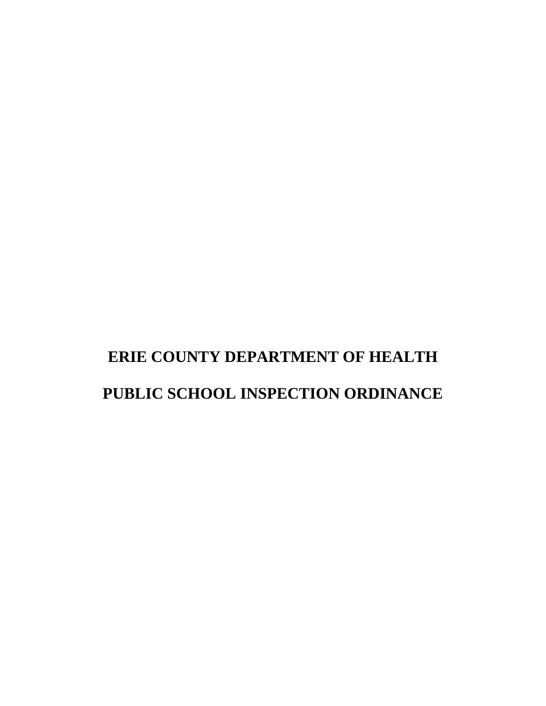# **ERIE COUNTY DEPARTMENT OF HEALTH PUBLIC SCHOOL INSPECTION ORDINANCE**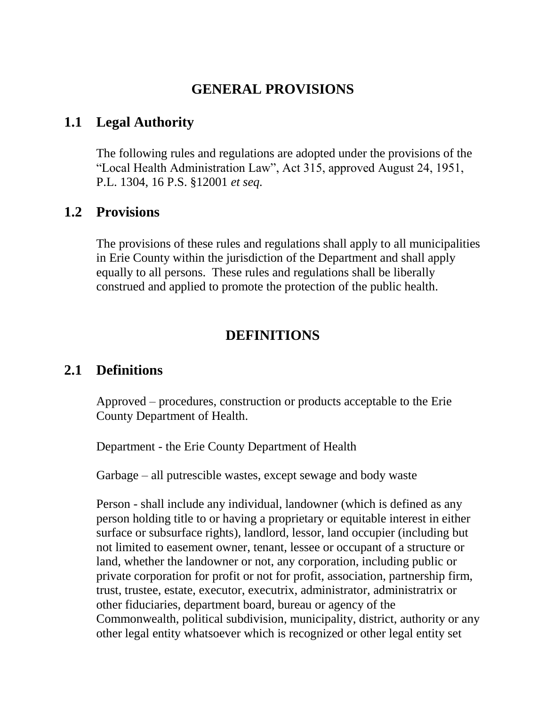## **GENERAL PROVISIONS**

## **1.1 Legal Authority**

The following rules and regulations are adopted under the provisions of the "Local Health Administration Law", Act 315, approved August 24, 1951, P.L. 1304, 16 P.S. §12001 *et seq.*

# **1.2 Provisions**

The provisions of these rules and regulations shall apply to all municipalities in Erie County within the jurisdiction of the Department and shall apply equally to all persons. These rules and regulations shall be liberally construed and applied to promote the protection of the public health.

# **DEFINITIONS**

## **2.1 Definitions**

Approved – procedures, construction or products acceptable to the Erie County Department of Health.

Department - the Erie County Department of Health

Garbage – all putrescible wastes, except sewage and body waste

Person - shall include any individual, landowner (which is defined as any person holding title to or having a proprietary or equitable interest in either surface or subsurface rights), landlord, lessor, land occupier (including but not limited to easement owner, tenant, lessee or occupant of a structure or land, whether the landowner or not, any corporation, including public or private corporation for profit or not for profit, association, partnership firm, trust, trustee, estate, executor, executrix, administrator, administratrix or other fiduciaries, department board, bureau or agency of the Commonwealth, political subdivision, municipality, district, authority or any other legal entity whatsoever which is recognized or other legal entity set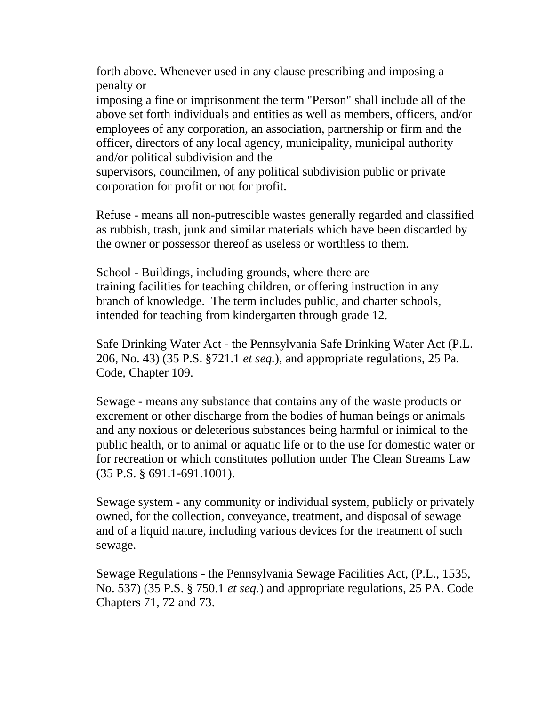forth above. Whenever used in any clause prescribing and imposing a penalty or

imposing a fine or imprisonment the term "Person" shall include all of the above set forth individuals and entities as well as members, officers, and/or employees of any corporation, an association, partnership or firm and the officer, directors of any local agency, municipality, municipal authority and/or political subdivision and the

supervisors, councilmen, of any political subdivision public or private corporation for profit or not for profit.

Refuse - means all non-putrescible wastes generally regarded and classified as rubbish, trash, junk and similar materials which have been discarded by the owner or possessor thereof as useless or worthless to them.

School - Buildings, including grounds, where there are training facilities for teaching children, or offering instruction in any branch of knowledge. The term includes public, and charter schools, intended for teaching from kindergarten through grade 12.

Safe Drinking Water Act - the Pennsylvania Safe Drinking Water Act (P.L. 206, No. 43) (35 P.S. §721.1 *et seq.*)*,* and appropriate regulations, 25 Pa. Code, Chapter 109.

Sewage - means any substance that contains any of the waste products or excrement or other discharge from the bodies of human beings or animals and any noxious or deleterious substances being harmful or inimical to the public health, or to animal or aquatic life or to the use for domestic water or for recreation or which constitutes pollution under The Clean Streams Law (35 P.S. § 691.1-691.1001).

Sewage system **-** any community or individual system, publicly or privately owned, for the collection, conveyance, treatment, and disposal of sewage and of a liquid nature, including various devices for the treatment of such sewage.

Sewage Regulations - the Pennsylvania Sewage Facilities Act, (P.L., 1535, No. 537) (35 P.S. § 750.1 *et seq.*) and appropriate regulations, 25 PA. Code Chapters 71, 72 and 73.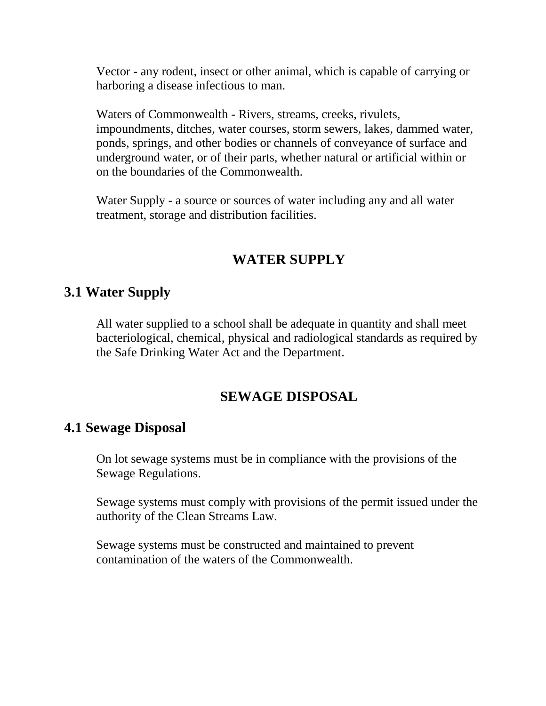Vector - any rodent, insect or other animal, which is capable of carrying or harboring a disease infectious to man.

Waters of Commonwealth - Rivers, streams, creeks, rivulets, impoundments, ditches, water courses, storm sewers, lakes, dammed water, ponds, springs, and other bodies or channels of conveyance of surface and underground water, or of their parts, whether natural or artificial within or on the boundaries of the Commonwealth.

Water Supply - a source or sources of water including any and all water treatment, storage and distribution facilities.

# **WATER SUPPLY**

## **3.1 Water Supply**

All water supplied to a school shall be adequate in quantity and shall meet bacteriological, chemical, physical and radiological standards as required by the Safe Drinking Water Act and the Department.

# **SEWAGE DISPOSAL**

#### **4.1 Sewage Disposal**

On lot sewage systems must be in compliance with the provisions of the Sewage Regulations.

Sewage systems must comply with provisions of the permit issued under the authority of the Clean Streams Law.

Sewage systems must be constructed and maintained to prevent contamination of the waters of the Commonwealth.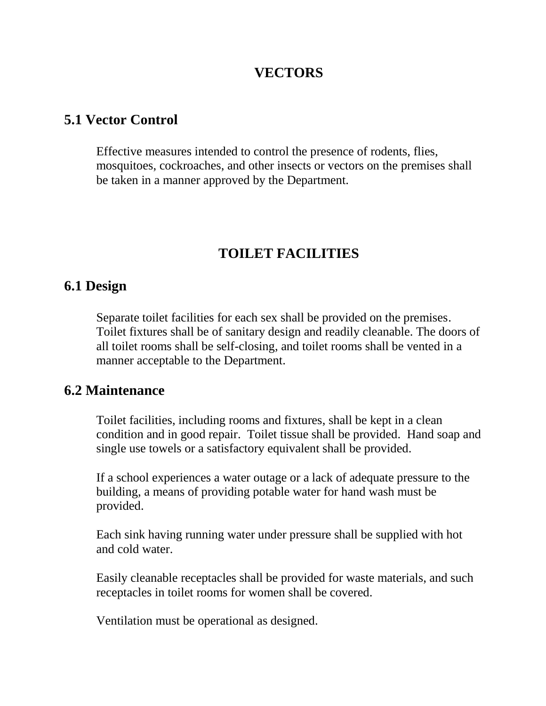# **VECTORS**

#### **5.1 Vector Control**

Effective measures intended to control the presence of rodents, flies, mosquitoes, cockroaches, and other insects or vectors on the premises shall be taken in a manner approved by the Department.

# **TOILET FACILITIES**

### **6.1 Design**

Separate toilet facilities for each sex shall be provided on the premises. Toilet fixtures shall be of sanitary design and readily cleanable. The doors of all toilet rooms shall be self-closing, and toilet rooms shall be vented in a manner acceptable to the Department.

#### **6.2 Maintenance**

Toilet facilities, including rooms and fixtures, shall be kept in a clean condition and in good repair. Toilet tissue shall be provided. Hand soap and single use towels or a satisfactory equivalent shall be provided.

If a school experiences a water outage or a lack of adequate pressure to the building, a means of providing potable water for hand wash must be provided.

Each sink having running water under pressure shall be supplied with hot and cold water.

Easily cleanable receptacles shall be provided for waste materials, and such receptacles in toilet rooms for women shall be covered.

Ventilation must be operational as designed.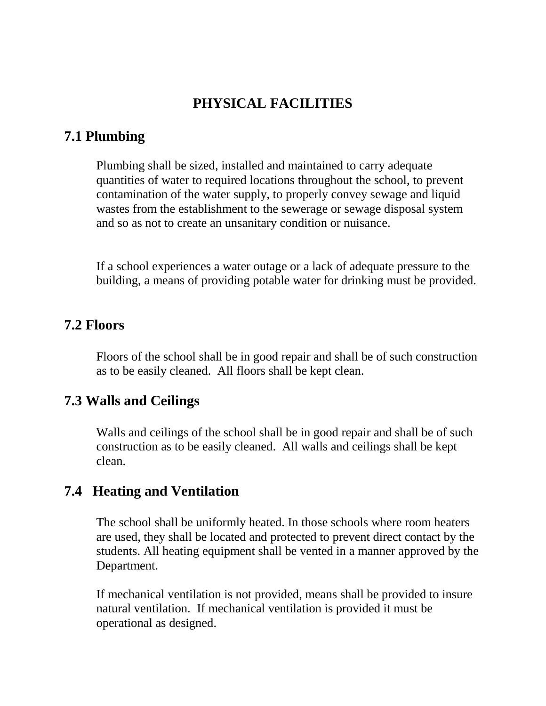# **PHYSICAL FACILITIES**

# **7.1 Plumbing**

Plumbing shall be sized, installed and maintained to carry adequate quantities of water to required locations throughout the school, to prevent contamination of the water supply, to properly convey sewage and liquid wastes from the establishment to the sewerage or sewage disposal system and so as not to create an unsanitary condition or nuisance.

If a school experiences a water outage or a lack of adequate pressure to the building, a means of providing potable water for drinking must be provided.

# **7.2 Floors**

Floors of the school shall be in good repair and shall be of such construction as to be easily cleaned. All floors shall be kept clean.

# **7.3 Walls and Ceilings**

Walls and ceilings of the school shall be in good repair and shall be of such construction as to be easily cleaned. All walls and ceilings shall be kept clean.

# **7.4 Heating and Ventilation**

The school shall be uniformly heated. In those schools where room heaters are used, they shall be located and protected to prevent direct contact by the students. All heating equipment shall be vented in a manner approved by the Department.

If mechanical ventilation is not provided, means shall be provided to insure natural ventilation. If mechanical ventilation is provided it must be operational as designed.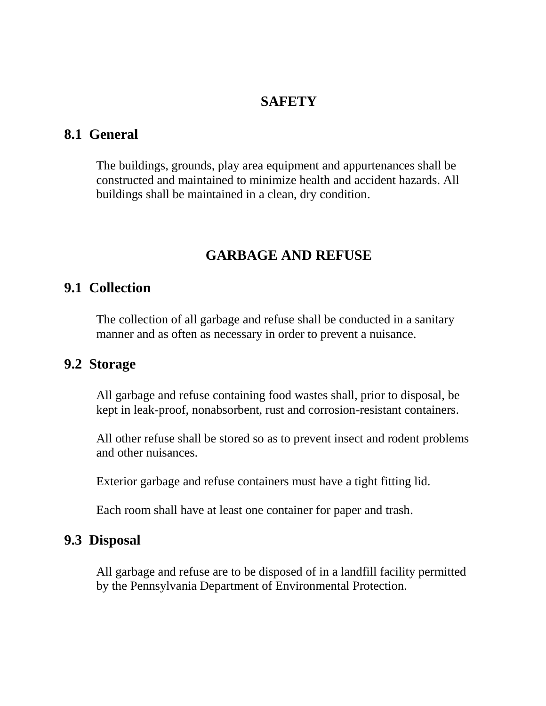# **SAFETY**

#### **8.1 General**

The buildings, grounds, play area equipment and appurtenances shall be constructed and maintained to minimize health and accident hazards. All buildings shall be maintained in a clean, dry condition.

## **GARBAGE AND REFUSE**

# **9.1 Collection**

The collection of all garbage and refuse shall be conducted in a sanitary manner and as often as necessary in order to prevent a nuisance.

#### **9.2 Storage**

All garbage and refuse containing food wastes shall, prior to disposal, be kept in leak-proof, nonabsorbent, rust and corrosion-resistant containers.

All other refuse shall be stored so as to prevent insect and rodent problems and other nuisances.

Exterior garbage and refuse containers must have a tight fitting lid.

Each room shall have at least one container for paper and trash.

#### **9.3 Disposal**

All garbage and refuse are to be disposed of in a landfill facility permitted by the Pennsylvania Department of Environmental Protection.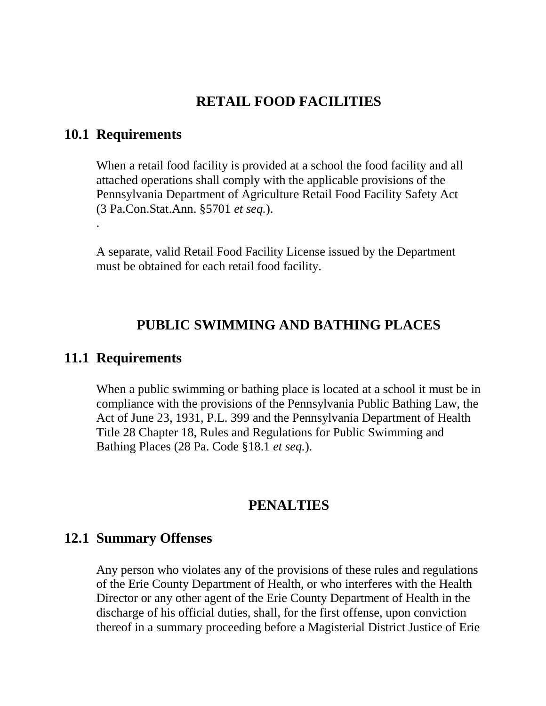# **RETAIL FOOD FACILITIES**

#### **10.1 Requirements**

.

When a retail food facility is provided at a school the food facility and all attached operations shall comply with the applicable provisions of the Pennsylvania Department of Agriculture Retail Food Facility Safety Act (3 Pa.Con.Stat.Ann. §5701 *et seq.*).

A separate, valid Retail Food Facility License issued by the Department must be obtained for each retail food facility.

### **PUBLIC SWIMMING AND BATHING PLACES**

#### **11.1 Requirements**

When a public swimming or bathing place is located at a school it must be in compliance with the provisions of the Pennsylvania Public Bathing Law, the Act of June 23, 1931, P.L. 399 and the Pennsylvania Department of Health Title 28 Chapter 18, Rules and Regulations for Public Swimming and Bathing Places (28 Pa. Code §18.1 *et seq.*).

#### **PENALTIES**

#### **12.1 Summary Offenses**

Any person who violates any of the provisions of these rules and regulations of the Erie County Department of Health, or who interferes with the Health Director or any other agent of the Erie County Department of Health in the discharge of his official duties, shall, for the first offense, upon conviction thereof in a summary proceeding before a Magisterial District Justice of Erie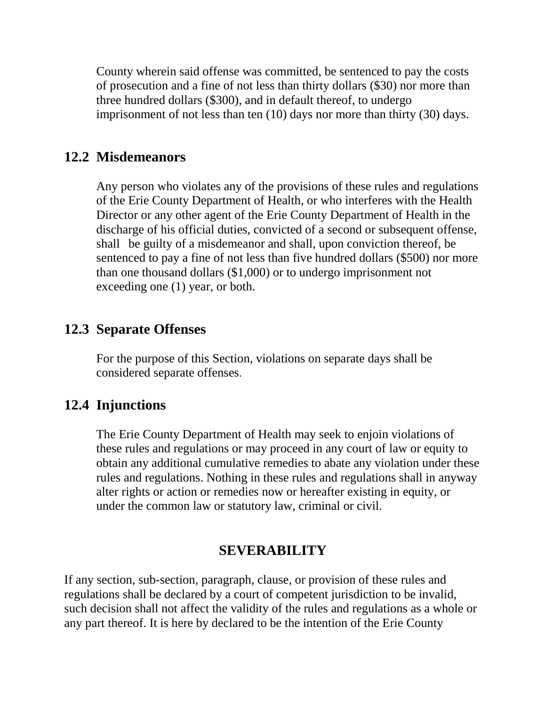County wherein said offense was committed, be sentenced to pay the costs of prosecution and a fine of not less than thirty dollars (\$30) nor more than three hundred dollars (\$300), and in default thereof, to undergo imprisonment of not less than ten (10) days nor more than thirty (30) days.

#### **12.2 Misdemeanors**

Any person who violates any of the provisions of these rules and regulations of the Erie County Department of Health, or who interferes with the Health Director or any other agent of the Erie County Department of Health in the discharge of his official duties, convicted of a second or subsequent offense, shall be guilty of a misdemeanor and shall, upon conviction thereof, be sentenced to pay a fine of not less than five hundred dollars (\$500) nor more than one thousand dollars (\$1,000) or to undergo imprisonment not exceeding one (1) year, or both.

### **12.3 Separate Offenses**

For the purpose of this Section, violations on separate days shall be considered separate offenses.

## **12.4 Injunctions**

The Erie County Department of Health may seek to enjoin violations of these rules and regulations or may proceed in any court of law or equity to obtain any additional cumulative remedies to abate any violation under these rules and regulations. Nothing in these rules and regulations shall in anyway alter rights or action or remedies now or hereafter existing in equity, or under the common law or statutory law, criminal or civil.

#### **SEVERABILITY**

If any section, sub-section, paragraph, clause, or provision of these rules and regulations shall be declared by a court of competent jurisdiction to be invalid, such decision shall not affect the validity of the rules and regulations as a whole or any part thereof. It is here by declared to be the intention of the Erie County